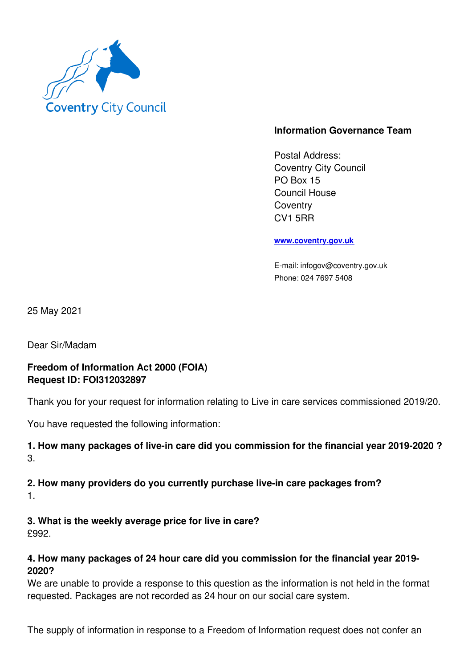

# **Information Governance Team**

Postal Address: Coventry City Council PO Box 15 Council House **Coventry** CV1 5RR

#### **www.coventry.gov.uk**

E-mail: infogov@coventry.gov.uk Phone: 024 7697 5408

25 May 2021

Dear Sir/Madam

## **Freedom of Information Act 2000 (FOIA) Request ID: FOI312032897**

Thank you for your request for information relating to Live in care services commissioned 2019/20.

You have requested the following information:

### **1. How many packages of live-in care did you commission for the financial year 2019-2020 ?** 3.

### **2. How many providers do you currently purchase live-in care packages from?** 1.

**3. What is the weekly average price for live in care?** £992.

### **4. How many packages of 24 hour care did you commission for the financial year 2019- 2020?**

We are unable to provide a response to this question as the information is not held in the format requested. Packages are not recorded as 24 hour on our social care system.

The supply of information in response to a Freedom of Information request does not confer an